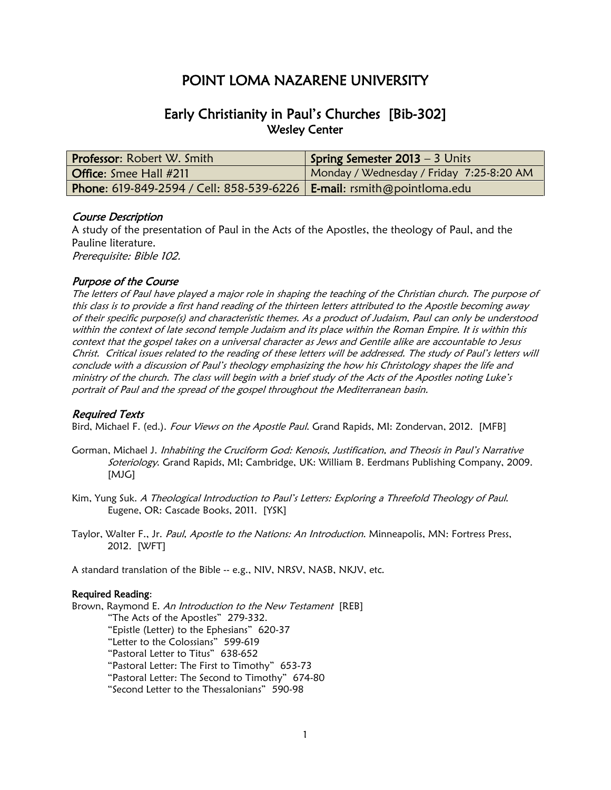# POINT LOMA NAZARENE UNIVERSITY

## Early Christianity in Paul's Churches [Bib-302] Wesley Center

| <b>Professor: Robert W. Smith</b>                                                     | <b>Spring Semester 2013 - 3 Units</b>    |
|---------------------------------------------------------------------------------------|------------------------------------------|
| Office: Smee Hall #211                                                                | Monday / Wednesday / Friday 7:25-8:20 AM |
| <b>Phone:</b> 619-849-2594 / Cell: 858-539-6226   <b>E-mail:</b> rsmith@pointloma.edu |                                          |

#### Course Description

A study of the presentation of Paul in the Acts of the Apostles, the theology of Paul, and the Pauline literature. Prerequisite: Bible 102.

#### Purpose of the Course

The letters of Paul have played a major role in shaping the teaching of the Christian church. The purpose of this class is to provide a first hand reading of the thirteen letters attributed to the Apostle becoming away of their specific purpose(s) and characteristic themes. As a product of Judaism, Paul can only be understood within the context of late second temple Judaism and its place within the Roman Empire. It is within this context that the gospel takes on a universal character as Jews and Gentile alike are accountable to Jesus Christ. Critical issues related to the reading of these letters will be addressed. The study of Paul's letters will conclude with a discussion of Paul's theology emphasizing the how his Christology shapes the life and ministry of the church. The class will begin with a brief study of the Acts of the Apostles noting Luke's portrait of Paul and the spread of the gospel throughout the Mediterranean basin.

#### Required Texts

Bird, Michael F. (ed.). Four Views on the Apostle Paul. Grand Rapids, MI: Zondervan, 2012. [MFB]

- Gorman, Michael J. Inhabiting the Cruciform God: Kenosis, Justification, and Theosis in Paul's Narrative Soteriology. Grand Rapids, MI; Cambridge, UK: William B. Eerdmans Publishing Company, 2009. [MJG]
- Kim, Yung Suk. A Theological Introduction to Paul's Letters: Exploring a Threefold Theology of Paul. Eugene, OR: Cascade Books, 2011. [YSK]
- Taylor, Walter F., Jr. Paul, Apostle to the Nations: An Introduction. Minneapolis, MN: Fortress Press, 2012. [WFT]

A standard translation of the Bible -- e.g., NIV, NRSV, NASB, NKJV, etc.

#### Required Reading:

Brown, Raymond E. An Introduction to the New Testament [REB]

"The Acts of the Apostles" 279-332.

"Epistle (Letter) to the Ephesians" 620-37

"Letter to the Colossians" 599-619

"Pastoral Letter to Titus" 638-652

"Pastoral Letter: The First to Timothy" 653-73

"Pastoral Letter: The Second to Timothy" 674-80

"Second Letter to the Thessalonians" 590-98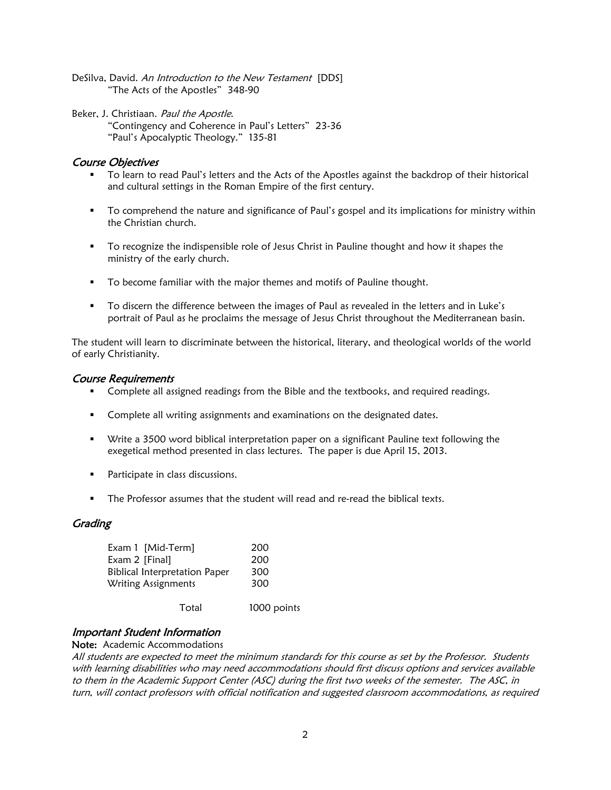DeSilva, David. An Introduction to the New Testament [DDS] "The Acts of the Apostles" 348-90

Beker, J. Christiaan. Paul the Apostle. "Contingency and Coherence in Paul's Letters" 23-36 "Paul's Apocalyptic Theology." 135-81

## Course Objectives

- To learn to read Paul's letters and the Acts of the Apostles against the backdrop of their historical and cultural settings in the Roman Empire of the first century.
- To comprehend the nature and significance of Paul's gospel and its implications for ministry within the Christian church.
- **To recognize the indispensible role of Jesus Christ in Pauline thought and how it shapes the** ministry of the early church.
- **To become familiar with the major themes and motifs of Pauline thought.**
- To discern the difference between the images of Paul as revealed in the letters and in Luke's portrait of Paul as he proclaims the message of Jesus Christ throughout the Mediterranean basin.

The student will learn to discriminate between the historical, literary, and theological worlds of the world of early Christianity.

#### Course Requirements

- Complete all assigned readings from the Bible and the textbooks, and required readings.
- **Complete all writing assignments and examinations on the designated dates.**
- Write a 3500 word biblical interpretation paper on a significant Pauline text following the exegetical method presented in class lectures. The paper is due April 15, 2013.
- **Participate in class discussions.**
- The Professor assumes that the student will read and re-read the biblical texts.

## **Grading**

| Exam 1 [Mid-Term]                    | 200 |
|--------------------------------------|-----|
| Exam 2 [Final]                       | 200 |
| <b>Biblical Interpretation Paper</b> | 300 |
| Writing Assignments                  | 300 |
|                                      |     |

## Total 1000 points

## Important Student Information

Note: Academic Accommodations

All students are expected to meet the minimum standards for this course as set by the Professor. Students with learning disabilities who may need accommodations should first discuss options and services available to them in the Academic Support Center (ASC) during the first two weeks of the semester. The ASC, in turn, will contact professors with official notification and suggested classroom accommodations, as required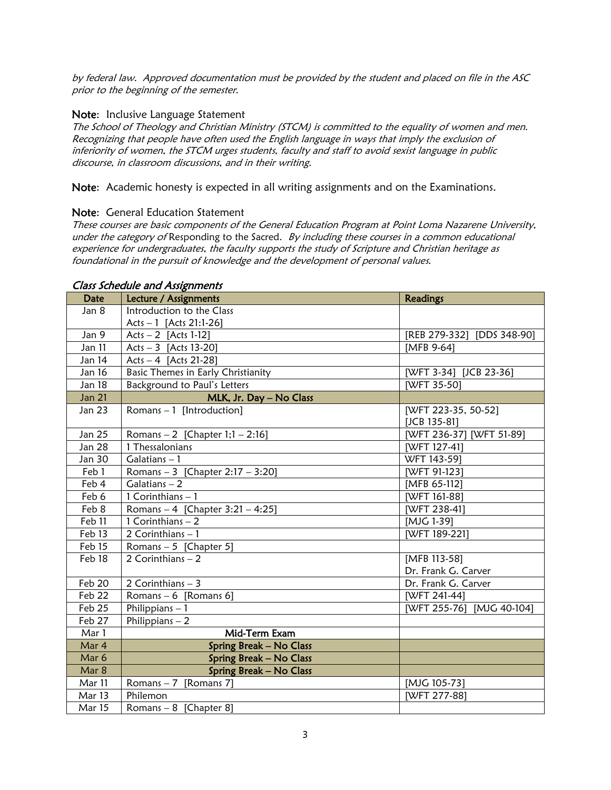by federal law. Approved documentation must be provided by the student and placed on file in the ASC prior to the beginning of the semester.

#### Note: Inclusive Language Statement

The School of Theology and Christian Ministry (STCM) is committed to the equality of women and men. Recognizing that people have often used the English language in ways that imply the exclusion of inferiority of women, the STCM urges students, faculty and staff to avoid sexist language in public discourse, in classroom discussions, and in their writing.

Note: Academic honesty is expected in all writing assignments and on the Examinations.

#### Note: General Education Statement

These courses are basic components of the General Education Program at Point Loma Nazarene University, under the category of Responding to the Sacred. By including these courses in a common educational experience for undergraduates, the faculty supports the study of Scripture and Christian heritage as foundational in the pursuit of knowledge and the development of personal values.

| <b>Date</b>          | Lecture / Assignments               | <b>Readings</b>            |
|----------------------|-------------------------------------|----------------------------|
| Jan 8                | Introduction to the Class           |                            |
|                      | Acts - 1 [Acts 21:1-26]             |                            |
| Jan 9                | $Acts - 2$ [Acts 1-12]              | [REB 279-332] [DDS 348-90] |
| Jan 11               | Acts $-3$ [Acts 13-20]              | [MFB 9-64]                 |
| Jan 14               | Acts - 4 [Acts 21-28]               |                            |
| Jan 16               | Basic Themes in Early Christianity  | [WFT 3-34] [JCB 23-36]     |
| <b>Jan 18</b>        | Background to Paul's Letters        | [WFT 35-50]                |
| <b>Jan 21</b>        | MLK, Jr. Day - No Class             |                            |
| Jan 23               | Romans $-1$ [Introduction]          | [WFT 223-35, 50-52]        |
|                      |                                     | [JCB 135-81]               |
| Jan 25               | Romans $-2$ [Chapter 1;1 $-2:16$ ]  | [WFT 236-37] [WFT 51-89]   |
| Jan 28               | 1 Thessalonians                     | [WFT 127-41]               |
| Jan 30               | Galatians $-1$                      | WFT 143-59]                |
| Feb 1                | Romans - 3 [Chapter $2:17 - 3:20$ ] | [WFT 91-123]               |
| Feb 4                | Galatians $-2$                      | [MFB 65-112]               |
| Feb 6                | 1 Corinthians $-1$                  | [WFT 161-88]               |
| Feb 8                | Romans - 4 [Chapter 3:21 - 4:25]    | [WFT 238-41]               |
| Feb 11               | $\overline{1$ Corinthians - 2       | [MJG 1-39]                 |
| Feb 13               | 2 Corinthians $-1$                  | [WFT 189-221]              |
| Feb 15               | Romans $-5$ [Chapter 5]             |                            |
| Feb 18               | $2$ Corinthians $-2$                | [MFB 113-58]               |
|                      |                                     | Dr. Frank G. Carver        |
| <b>Feb 20</b>        | 2 Corinthians $-3$                  | Dr. Frank G. Carver        |
| $\overline{F}$ eb 22 | Romans $-6$ [Romans 6]              | [WFT 241-44]               |
| Feb 25               | Philippians $-1$                    | [WFT 255-76] [MJG 40-104]  |
| Feb 27               | Philippians $-2$                    |                            |
| Mar 1                | Mid-Term Exam                       |                            |
| Mar 4                | <b>Spring Break - No Class</b>      |                            |
| Mar 6                | <b>Spring Break - No Class</b>      |                            |
| Mar 8                | <b>Spring Break - No Class</b>      |                            |
| Mar 11               | Romans $-7$ [Romans 7]              | [MJG 105-73]               |
| Mar 13               | Philemon                            | [WFT 277-88]               |
| <b>Mar 15</b>        | Romans $-8$ [Chapter 8]             |                            |

#### Class Schedule and Assignments